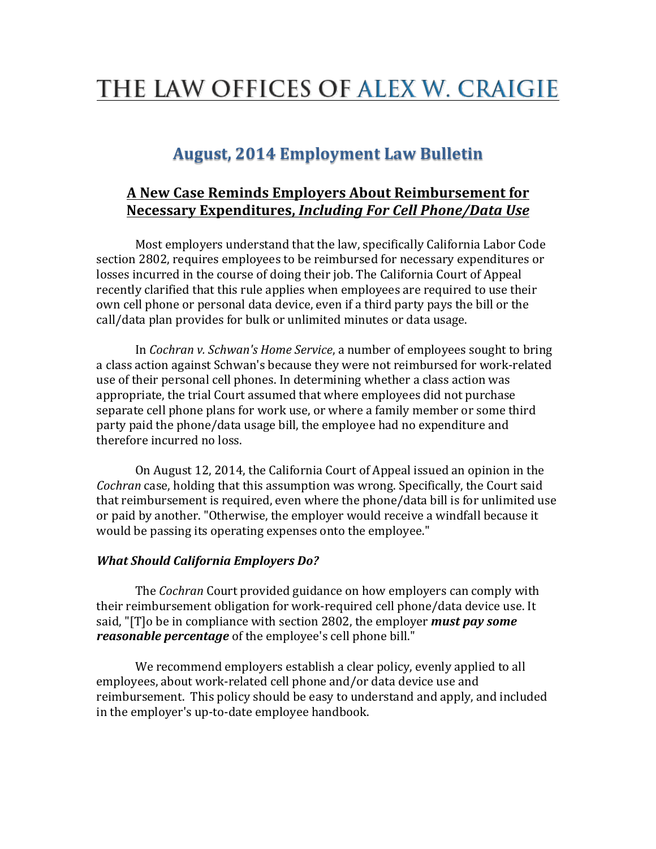## THE LAW OFFICES OF ALEX W. CRAIGIE

## **August, 2014 Employment Law Bulletin**

## **A New Case Reminds Employers About Reimbursement for Necessary Expenditures,** *Including For Cell Phone/Data Use*

Most employers understand that the law, specifically California Labor Code section 2802, requires employees to be reimbursed for necessary expenditures or losses incurred in the course of doing their job. The California Court of Appeal recently clarified that this rule applies when employees are required to use their own cell phone or personal data device, even if a third party pays the bill or the call/data plan provides for bulk or unlimited minutes or data usage.

In *Cochran v. Schwan's Home Service*, a number of employees sought to bring a class action against Schwan's because they were not reimbursed for work-related use of their personal cell phones. In determining whether a class action was appropriate, the trial Court assumed that where employees did not purchase separate cell phone plans for work use, or where a family member or some third party paid the phone/data usage bill, the employee had no expenditure and therefore incurred no loss.

On August 12, 2014, the California Court of Appeal issued an opinion in the *Cochran* case, holding that this assumption was wrong. Specifically, the Court said that reimbursement is required, even where the phone/data bill is for unlimited use or paid by another. "Otherwise, the employer would receive a windfall because it would be passing its operating expenses onto the employee."

## *What Should California Employers Do?*

The *Cochran* Court provided guidance on how employers can comply with their reimbursement obligation for work-required cell phone/data device use. It said, "[T]o be in compliance with section 2802, the employer **must pay some** *reasonable percentage* of the employee's cell phone bill."

We recommend employers establish a clear policy, evenly applied to all employees, about work-related cell phone and/or data device use and reimbursement. This policy should be easy to understand and apply, and included in the employer's up-to-date employee handbook.